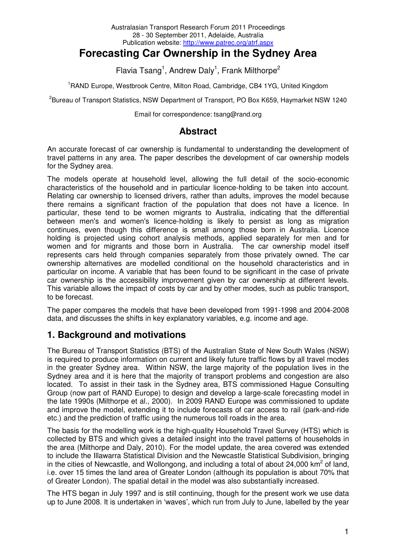#### Australasian Transport Research Forum 2011 Proceedings 28 - 30 September 2011, Adelaide, Australia Publication website: http://www.patrec.org/atrf.aspx

# **Forecasting Car Ownership in the Sydney Area**

Flavia Tsang<sup>1</sup>, Andrew Daly<sup>1</sup>, Frank Milthorpe<sup>2</sup>

<sup>1</sup>RAND Europe, Westbrook Centre, Milton Road, Cambridge, CB4 1YG, United Kingdom

<sup>2</sup>Bureau of Transport Statistics, NSW Department of Transport, PO Box K659, Haymarket NSW 1240

Email for correspondence: tsang@rand.org

## **Abstract**

An accurate forecast of car ownership is fundamental to understanding the development of travel patterns in any area. The paper describes the development of car ownership models for the Sydney area.

The models operate at household level, allowing the full detail of the socio-economic characteristics of the household and in particular licence-holding to be taken into account. Relating car ownership to licensed drivers, rather than adults, improves the model because there remains a significant fraction of the population that does not have a licence. In particular, these tend to be women migrants to Australia, indicating that the differential between men's and women's licence-holding is likely to persist as long as migration continues, even though this difference is small among those born in Australia. Licence holding is projected using cohort analysis methods, applied separately for men and for women and for migrants and those born in Australia. The car ownership model itself represents cars held through companies separately from those privately owned. The car ownership alternatives are modelled conditional on the household characteristics and in particular on income. A variable that has been found to be significant in the case of private car ownership is the accessibility improvement given by car ownership at different levels. This variable allows the impact of costs by car and by other modes, such as public transport, to be forecast.

The paper compares the models that have been developed from 1991-1998 and 2004-2008 data, and discusses the shifts in key explanatory variables, e.g. income and age.

## **1. Background and motivations**

The Bureau of Transport Statistics (BTS) of the Australian State of New South Wales (NSW) is required to produce information on current and likely future traffic flows by all travel modes in the greater Sydney area. Within NSW, the large majority of the population lives in the Sydney area and it is here that the majority of transport problems and congestion are also located. To assist in their task in the Sydney area, BTS commissioned Hague Consulting Group (now part of RAND Europe) to design and develop a large-scale forecasting model in the late 1990s (Milthorpe et al., 2000). In 2009 RAND Europe was commissioned to update and improve the model, extending it to include forecasts of car access to rail (park-and-ride etc.) and the prediction of traffic using the numerous toll roads in the area.

The basis for the modelling work is the high-quality Household Travel Survey (HTS) which is collected by BTS and which gives a detailed insight into the travel patterns of households in the area (Milthorpe and Daly, 2010). For the model update, the area covered was extended to include the Illawarra Statistical Division and the Newcastle Statistical Subdivision, bringing in the cities of Newcastle, and Wollongong, and including a total of about 24,000 km<sup>2</sup> of land, i.e. over 15 times the land area of Greater London (although its population is about 70% that of Greater London). The spatial detail in the model was also substantially increased.

The HTS began in July 1997 and is still continuing, though for the present work we use data up to June 2008. It is undertaken in 'waves', which run from July to June, labelled by the year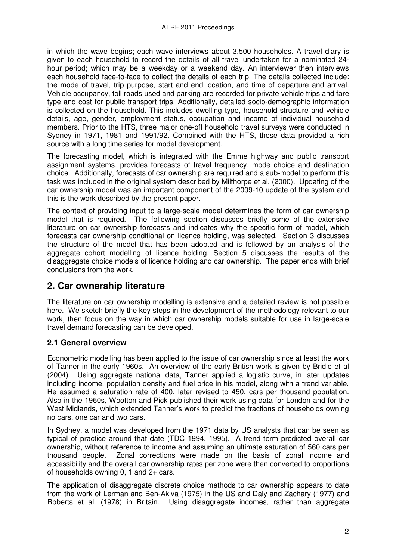in which the wave begins; each wave interviews about 3,500 households. A travel diary is given to each household to record the details of all travel undertaken for a nominated 24 hour period; which may be a weekday or a weekend day. An interviewer then interviews each household face-to-face to collect the details of each trip. The details collected include: the mode of travel, trip purpose, start and end location, and time of departure and arrival. Vehicle occupancy, toll roads used and parking are recorded for private vehicle trips and fare type and cost for public transport trips. Additionally, detailed socio-demographic information is collected on the household. This includes dwelling type, household structure and vehicle details, age, gender, employment status, occupation and income of individual household members. Prior to the HTS, three major one-off household travel surveys were conducted in Sydney in 1971, 1981 and 1991/92. Combined with the HTS, these data provided a rich source with a long time series for model development.

The forecasting model, which is integrated with the Emme highway and public transport assignment systems, provides forecasts of travel frequency, mode choice and destination choice. Additionally, forecasts of car ownership are required and a sub-model to perform this task was included in the original system described by Milthorpe et al. (2000). Updating of the car ownership model was an important component of the 2009-10 update of the system and this is the work described by the present paper.

The context of providing input to a large-scale model determines the form of car ownership model that is required. The following section discusses briefly some of the extensive literature on car ownership forecasts and indicates why the specific form of model, which forecasts car ownership conditional on licence holding, was selected. Section 3 discusses the structure of the model that has been adopted and is followed by an analysis of the aggregate cohort modelling of licence holding. Section 5 discusses the results of the disaggregate choice models of licence holding and car ownership. The paper ends with brief conclusions from the work.

## **2. Car ownership literature**

The literature on car ownership modelling is extensive and a detailed review is not possible here. We sketch briefly the key steps in the development of the methodology relevant to our work, then focus on the way in which car ownership models suitable for use in large-scale travel demand forecasting can be developed.

## **2.1 General overview**

Econometric modelling has been applied to the issue of car ownership since at least the work of Tanner in the early 1960s. An overview of the early British work is given by Bridle et al (2004). Using aggregate national data, Tanner applied a logistic curve, in later updates including income, population density and fuel price in his model, along with a trend variable. He assumed a saturation rate of 400, later revised to 450, cars per thousand population. Also in the 1960s, Wootton and Pick published their work using data for London and for the West Midlands, which extended Tanner's work to predict the fractions of households owning no cars, one car and two cars.

In Sydney, a model was developed from the 1971 data by US analysts that can be seen as typical of practice around that date (TDC 1994, 1995). A trend term predicted overall car ownership, without reference to income and assuming an ultimate saturation of 560 cars per thousand people. Zonal corrections were made on the basis of zonal income and accessibility and the overall car ownership rates per zone were then converted to proportions of households owning 0, 1 and 2+ cars.

The application of disaggregate discrete choice methods to car ownership appears to date from the work of Lerman and Ben-Akiva (1975) in the US and Daly and Zachary (1977) and Roberts et al. (1978) in Britain. Using disaggregate incomes, rather than aggregate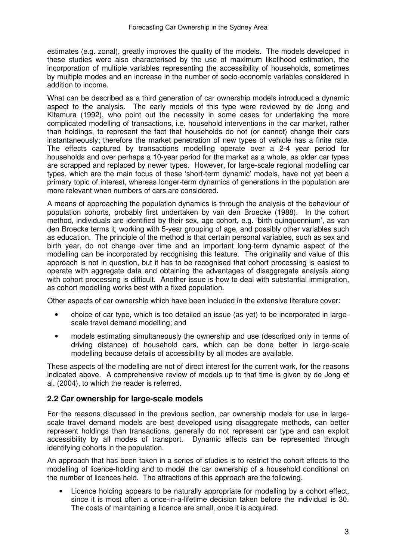estimates (e.g. zonal), greatly improves the quality of the models. The models developed in these studies were also characterised by the use of maximum likelihood estimation, the incorporation of multiple variables representing the accessibility of households, sometimes by multiple modes and an increase in the number of socio-economic variables considered in addition to income.

What can be described as a third generation of car ownership models introduced a dynamic aspect to the analysis. The early models of this type were reviewed by de Jong and Kitamura (1992), who point out the necessity in some cases for undertaking the more complicated modelling of transactions, i.e. household interventions in the car market, rather than holdings, to represent the fact that households do not (or cannot) change their cars instantaneously; therefore the market penetration of new types of vehicle has a finite rate. The effects captured by transactions modelling operate over a 2-4 year period for households and over perhaps a 10-year period for the market as a whole, as older car types are scrapped and replaced by newer types. However, for large-scale regional modelling car types, which are the main focus of these 'short-term dynamic' models, have not yet been a primary topic of interest, whereas longer-term dynamics of generations in the population are more relevant when numbers of cars are considered.

A means of approaching the population dynamics is through the analysis of the behaviour of population cohorts, probably first undertaken by van den Broecke (1988). In the cohort method, individuals are identified by their sex, age cohort, e.g. 'birth quinquennium', as van den Broecke terms it, working with 5-year grouping of age, and possibly other variables such as education. The principle of the method is that certain personal variables, such as sex and birth year, do not change over time and an important long-term dynamic aspect of the modelling can be incorporated by recognising this feature. The originality and value of this approach is not in question, but it has to be recognised that cohort processing is easiest to operate with aggregate data and obtaining the advantages of disaggregate analysis along with cohort processing is difficult. Another issue is how to deal with substantial immigration, as cohort modelling works best with a fixed population.

Other aspects of car ownership which have been included in the extensive literature cover:

- choice of car type, which is too detailed an issue (as yet) to be incorporated in largescale travel demand modelling; and
- models estimating simultaneously the ownership and use (described only in terms of driving distance) of household cars, which can be done better in large-scale modelling because details of accessibility by all modes are available.

These aspects of the modelling are not of direct interest for the current work, for the reasons indicated above. A comprehensive review of models up to that time is given by de Jong et al. (2004), to which the reader is referred.

### **2.2 Car ownership for large-scale models**

For the reasons discussed in the previous section, car ownership models for use in largescale travel demand models are best developed using disaggregate methods, can better represent holdings than transactions, generally do not represent car type and can exploit accessibility by all modes of transport. Dynamic effects can be represented through identifying cohorts in the population.

An approach that has been taken in a series of studies is to restrict the cohort effects to the modelling of licence-holding and to model the car ownership of a household conditional on the number of licences held. The attractions of this approach are the following.

• Licence holding appears to be naturally appropriate for modelling by a cohort effect, since it is most often a once-in-a-lifetime decision taken before the individual is 30. The costs of maintaining a licence are small, once it is acquired.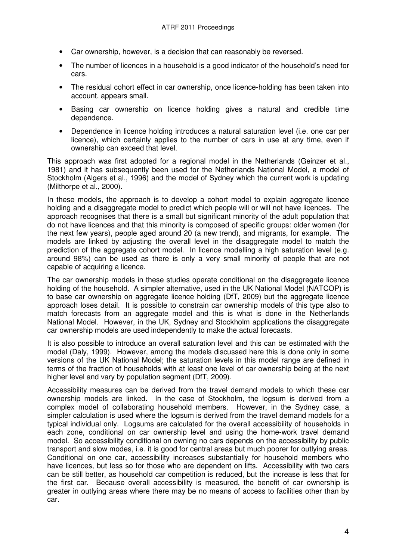- Car ownership, however, is a decision that can reasonably be reversed.
- The number of licences in a household is a good indicator of the household's need for cars.
- The residual cohort effect in car ownership, once licence-holding has been taken into account, appears small.
- Basing car ownership on licence holding gives a natural and credible time dependence.
- Dependence in licence holding introduces a natural saturation level (i.e. one car per licence), which certainly applies to the number of cars in use at any time, even if ownership can exceed that level.

This approach was first adopted for a regional model in the Netherlands (Geinzer et al., 1981) and it has subsequently been used for the Netherlands National Model, a model of Stockholm (Algers et al., 1996) and the model of Sydney which the current work is updating (Milthorpe et al., 2000).

In these models, the approach is to develop a cohort model to explain aggregate licence holding and a disaggregate model to predict which people will or will not have licences. The approach recognises that there is a small but significant minority of the adult population that do not have licences and that this minority is composed of specific groups: older women (for the next few years), people aged around 20 (a new trend), and migrants, for example. The models are linked by adjusting the overall level in the disaggregate model to match the prediction of the aggregate cohort model. In licence modelling a high saturation level (e.g. around 98%) can be used as there is only a very small minority of people that are not capable of acquiring a licence.

The car ownership models in these studies operate conditional on the disaggregate licence holding of the household. A simpler alternative, used in the UK National Model (NATCOP) is to base car ownership on aggregate licence holding (DfT, 2009) but the aggregate licence approach loses detail. It is possible to constrain car ownership models of this type also to match forecasts from an aggregate model and this is what is done in the Netherlands National Model. However, in the UK, Sydney and Stockholm applications the disaggregate car ownership models are used independently to make the actual forecasts.

It is also possible to introduce an overall saturation level and this can be estimated with the model (Daly, 1999). However, among the models discussed here this is done only in some versions of the UK National Model; the saturation levels in this model range are defined in terms of the fraction of households with at least one level of car ownership being at the next higher level and vary by population segment (DfT, 2009).

Accessibility measures can be derived from the travel demand models to which these car ownership models are linked. In the case of Stockholm, the logsum is derived from a complex model of collaborating household members. However, in the Sydney case, a simpler calculation is used where the logsum is derived from the travel demand models for a typical individual only. Logsums are calculated for the overall accessibility of households in each zone, conditional on car ownership level and using the home-work travel demand model. So accessibility conditional on owning no cars depends on the accessibility by public transport and slow modes, i.e. it is good for central areas but much poorer for outlying areas. Conditional on one car, accessibility increases substantially for household members who have licences, but less so for those who are dependent on lifts. Accessibility with two cars can be still better, as household car competition is reduced, but the increase is less that for the first car. Because overall accessibility is measured, the benefit of car ownership is greater in outlying areas where there may be no means of access to facilities other than by car.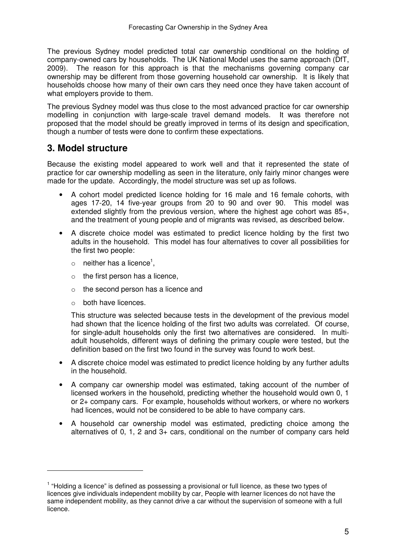The previous Sydney model predicted total car ownership conditional on the holding of company-owned cars by households. The UK National Model uses the same approach (DfT, 2009). The reason for this approach is that the mechanisms governing company car ownership may be different from those governing household car ownership. It is likely that households choose how many of their own cars they need once they have taken account of what employers provide to them.

The previous Sydney model was thus close to the most advanced practice for car ownership modelling in conjunction with large-scale travel demand models. It was therefore not proposed that the model should be greatly improved in terms of its design and specification, though a number of tests were done to confirm these expectations.

## **3. Model structure**

Because the existing model appeared to work well and that it represented the state of practice for car ownership modelling as seen in the literature, only fairly minor changes were made for the update. Accordingly, the model structure was set up as follows.

- A cohort model predicted licence holding for 16 male and 16 female cohorts, with ages 17-20, 14 five-year groups from 20 to 90 and over 90. This model was extended slightly from the previous version, where the highest age cohort was 85+, and the treatment of young people and of migrants was revised, as described below.
- A discrete choice model was estimated to predict licence holding by the first two adults in the household. This model has four alternatives to cover all possibilities for the first two people:
	- $\circ$  neither has a licence<sup>1</sup>,
	- $\circ$  the first person has a licence,
	- o the second person has a licence and
	- o both have licences.

 $\overline{a}$ 

This structure was selected because tests in the development of the previous model had shown that the licence holding of the first two adults was correlated. Of course, for single-adult households only the first two alternatives are considered. In multiadult households, different ways of defining the primary couple were tested, but the definition based on the first two found in the survey was found to work best.

- A discrete choice model was estimated to predict licence holding by any further adults in the household.
- A company car ownership model was estimated, taking account of the number of licensed workers in the household, predicting whether the household would own 0, 1 or 2+ company cars. For example, households without workers, or where no workers had licences, would not be considered to be able to have company cars.
- A household car ownership model was estimated, predicting choice among the alternatives of 0, 1, 2 and 3+ cars, conditional on the number of company cars held

<sup>&</sup>lt;sup>1</sup> "Holding a licence" is defined as possessing a provisional or full licence, as these two types of licences give individuals independent mobility by car, People with learner licences do not have the same independent mobility, as they cannot drive a car without the supervision of someone with a full licence.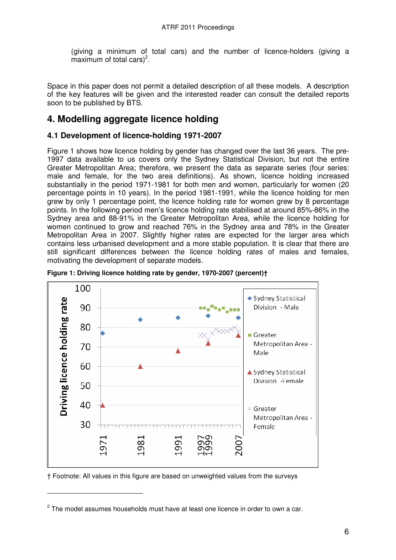(giving a minimum of total cars) and the number of licence-holders (giving a maximum of total cars)<sup>2</sup>.

Space in this paper does not permit a detailed description of all these models. A description of the key features will be given and the interested reader can consult the detailed reports soon to be published by BTS.

## **4. Modelling aggregate licence holding**

### **4.1 Development of licence-holding 1971-2007**

Figure 1 shows how licence holding by gender has changed over the last 36 years. The pre-1997 data available to us covers only the Sydney Statistical Division, but not the entire Greater Metropolitan Area; therefore, we present the data as separate series (four series: male and female, for the two area definitions). As shown, licence holding increased substantially in the period 1971-1981 for both men and women, particularly for women (20 percentage points in 10 years). In the period 1981-1991, while the licence holding for men grew by only 1 percentage point, the licence holding rate for women grew by 8 percentage points. In the following period men's licence holding rate stabilised at around 85%-86% in the Sydney area and 88-91% in the Greater Metropolitan Area, while the licence holding for women continued to grow and reached 76% in the Sydney area and 78% in the Greater Metropolitan Area in 2007. Slightly higher rates are expected for the larger area which contains less urbanised development and a more stable population. It is clear that there are still significant differences between the licence holding rates of males and females, motivating the development of separate models.



**Figure 1: Driving licence holding rate by gender, 1970-2007 (percent)†** 

† Footnote: All values in this figure are based on unweighted values from the surveys

 $\overline{a}$ 

 $^2$  The model assumes households must have at least one licence in order to own a car.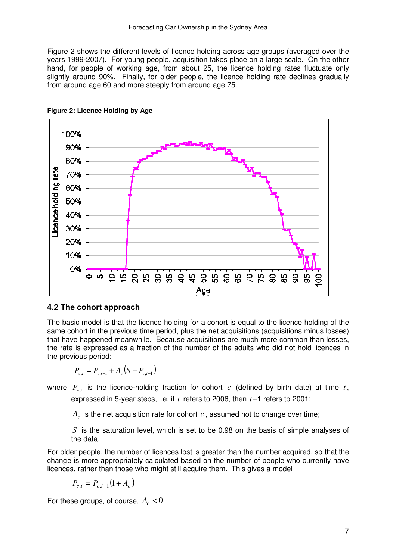Figure 2 shows the different levels of licence holding across age groups (averaged over the years 1999-2007). For young people, acquisition takes place on a large scale. On the other hand, for people of working age, from about 25, the licence holding rates fluctuate only slightly around 90%. Finally, for older people, the licence holding rate declines gradually from around age 60 and more steeply from around age 75.





#### **4.2 The cohort approach**

The basic model is that the licence holding for a cohort is equal to the licence holding of the same cohort in the previous time period, plus the net acquisitions (acquisitions minus losses) that have happened meanwhile. Because acquisitions are much more common than losses, the rate is expressed as a fraction of the number of the adults who did not hold licences in the previous period:

$$
P_{c,t} = P_{c,t-1} + A_c (S - P_{c,t-1})
$$

where  $P_{c,t}$  is the licence-holding fraction for cohort  $c$  (defined by birth date) at time  $t$ , expressed in 5-year steps, i.e. if *t* refers to 2006, then *t* –1 refers to 2001;

 $A_c$  is the net acquisition rate for cohort  $c$ , assumed not to change over time;

*S* is the saturation level, which is set to be 0.98 on the basis of simple analyses of the data.

For older people, the number of licences lost is greater than the number acquired, so that the change is more appropriately calculated based on the number of people who currently have licences, rather than those who might still acquire them. This gives a model

 $P_{c,t} = P_{c,t-1} (1 + A_c)$ 

For these groups, of course,  $A_c < 0$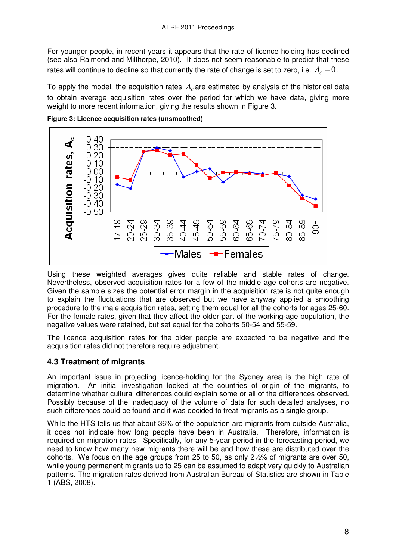For younger people, in recent years it appears that the rate of licence holding has declined (see also Raimond and Milthorpe, 2010). It does not seem reasonable to predict that these rates will continue to decline so that currently the rate of change is set to zero, i.e.  $A_c = 0$ .

To apply the model, the acquisition rates *A<sup>c</sup>* are estimated by analysis of the historical data to obtain average acquisition rates over the period for which we have data, giving more weight to more recent information, giving the results shown in Figure 3.



**Figure 3: Licence acquisition rates (unsmoothed)** 

Using these weighted averages gives quite reliable and stable rates of change. Nevertheless, observed acquisition rates for a few of the middle age cohorts are negative. Given the sample sizes the potential error margin in the acquisition rate is not quite enough to explain the fluctuations that are observed but we have anyway applied a smoothing procedure to the male acquisition rates, setting them equal for all the cohorts for ages 25-60. For the female rates, given that they affect the older part of the working-age population, the negative values were retained, but set equal for the cohorts 50-54 and 55-59.

The licence acquisition rates for the older people are expected to be negative and the acquisition rates did not therefore require adjustment.

## **4.3 Treatment of migrants**

An important issue in projecting licence-holding for the Sydney area is the high rate of migration. An initial investigation looked at the countries of origin of the migrants, to determine whether cultural differences could explain some or all of the differences observed. Possibly because of the inadequacy of the volume of data for such detailed analyses, no such differences could be found and it was decided to treat migrants as a single group.

While the HTS tells us that about 36% of the population are migrants from outside Australia, it does not indicate how long people have been in Australia. Therefore, information is required on migration rates. Specifically, for any 5-year period in the forecasting period, we need to know how many new migrants there will be and how these are distributed over the cohorts. We focus on the age groups from 25 to 50, as only 2½% of migrants are over 50, while young permanent migrants up to 25 can be assumed to adapt very quickly to Australian patterns. The migration rates derived from Australian Bureau of Statistics are shown in Table 1 (ABS, 2008).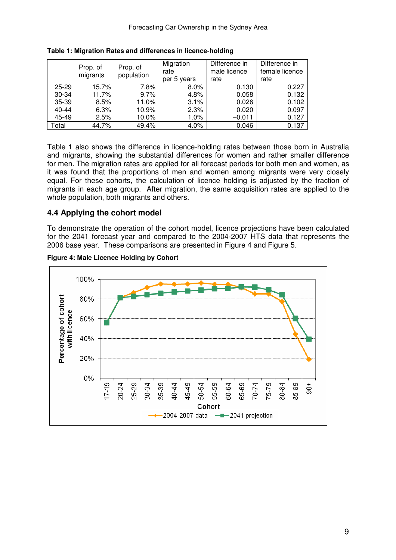|           | Prop. of | Prop. of   | Migration   | Difference in | Difference in  |
|-----------|----------|------------|-------------|---------------|----------------|
|           | migrants | population | rate        | male licence  | female licence |
|           |          |            | per 5 years | rate          | rate           |
| $25 - 29$ | 15.7%    | 7.8%       | 8.0%        | 0.130         | 0.227          |
| 30-34     | 11.7%    | 9.7%       | 4.8%        | 0.058         | 0.132          |
| 35-39     | 8.5%     | 11.0%      | 3.1%        | 0.026         | 0.102          |
| $40 - 44$ | 6.3%     | 10.9%      | 2.3%        | 0.020         | 0.097          |
| 45-49     | 2.5%     | 10.0%      | $1.0\%$     | $-0.011$      | 0.127          |
| Total     | 44.7%    | 49.4%      | 4.0%        | 0.046         | 0.137          |

|  |  |  | Table 1: Migration Rates and differences in licence-holding |  |  |
|--|--|--|-------------------------------------------------------------|--|--|
|--|--|--|-------------------------------------------------------------|--|--|

Table 1 also shows the difference in licence-holding rates between those born in Australia and migrants, showing the substantial differences for women and rather smaller difference for men. The migration rates are applied for all forecast periods for both men and women, as it was found that the proportions of men and women among migrants were very closely equal. For these cohorts, the calculation of licence holding is adjusted by the fraction of migrants in each age group. After migration, the same acquisition rates are applied to the whole population, both migrants and others.

### **4.4 Applying the cohort model**

To demonstrate the operation of the cohort model, licence projections have been calculated for the 2041 forecast year and compared to the 2004-2007 HTS data that represents the 2006 base year. These comparisons are presented in Figure 4 and Figure 5.



#### **Figure 4: Male Licence Holding by Cohort**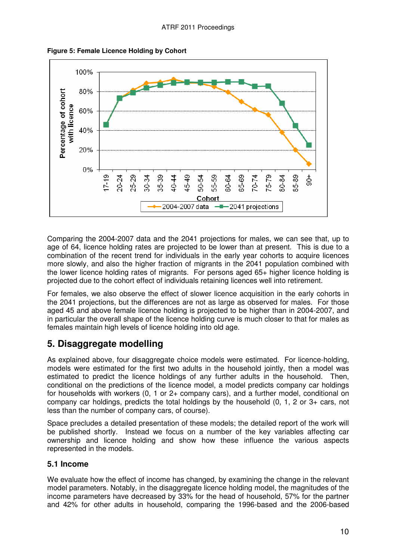



Comparing the 2004-2007 data and the 2041 projections for males, we can see that, up to age of 64, licence holding rates are projected to be lower than at present. This is due to a combination of the recent trend for individuals in the early year cohorts to acquire licences more slowly, and also the higher fraction of migrants in the 2041 population combined with the lower licence holding rates of migrants. For persons aged 65+ higher licence holding is projected due to the cohort effect of individuals retaining licences well into retirement.

For females, we also observe the effect of slower licence acquisition in the early cohorts in the 2041 projections, but the differences are not as large as observed for males. For those aged 45 and above female licence holding is projected to be higher than in 2004-2007, and in particular the overall shape of the licence holding curve is much closer to that for males as females maintain high levels of licence holding into old age.

## **5. Disaggregate modelling**

As explained above, four disaggregate choice models were estimated. For licence-holding, models were estimated for the first two adults in the household jointly, then a model was estimated to predict the licence holdings of any further adults in the household. Then, conditional on the predictions of the licence model, a model predicts company car holdings for households with workers (0, 1 or 2+ company cars), and a further model, conditional on company car holdings, predicts the total holdings by the household (0, 1, 2 or 3+ cars, not less than the number of company cars, of course).

Space precludes a detailed presentation of these models; the detailed report of the work will be published shortly. Instead we focus on a number of the key variables affecting car ownership and licence holding and show how these influence the various aspects represented in the models.

## **5.1 Income**

We evaluate how the effect of income has changed, by examining the change in the relevant model parameters. Notably, in the disaggregate licence holding model, the magnitudes of the income parameters have decreased by 33% for the head of household, 57% for the partner and 42% for other adults in household, comparing the 1996-based and the 2006-based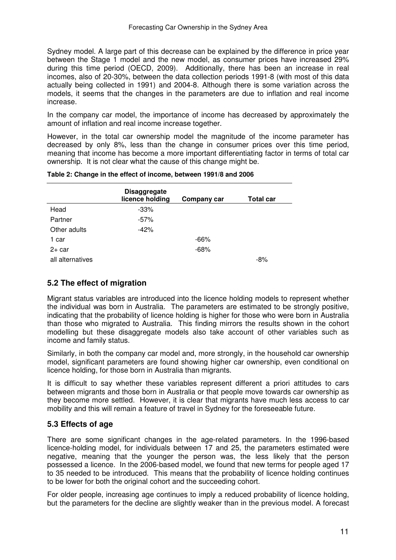Sydney model. A large part of this decrease can be explained by the difference in price year between the Stage 1 model and the new model, as consumer prices have increased 29% during this time period (OECD, 2009). Additionally, there has been an increase in real incomes, also of 20-30%, between the data collection periods 1991-8 (with most of this data actually being collected in 1991) and 2004-8. Although there is some variation across the models, it seems that the changes in the parameters are due to inflation and real income increase.

In the company car model, the importance of income has decreased by approximately the amount of inflation and real income increase together.

However, in the total car ownership model the magnitude of the income parameter has decreased by only 8%, less than the change in consumer prices over this time period, meaning that income has become a more important differentiating factor in terms of total car ownership. It is not clear what the cause of this change might be.

|                  | <b>Disaggregate</b><br>licence holding | Company car | <b>Total car</b> |
|------------------|----------------------------------------|-------------|------------------|
| Head             | $-33%$                                 |             |                  |
| Partner          | $-57%$                                 |             |                  |
| Other adults     | $-42%$                                 |             |                  |
| 1 car            |                                        | $-66%$      |                  |
| $2+$ car         |                                        | $-68%$      |                  |
| all alternatives |                                        |             | -8%              |

#### **Table 2: Change in the effect of income, between 1991/8 and 2006**

### **5.2 The effect of migration**

Migrant status variables are introduced into the licence holding models to represent whether the individual was born in Australia. The parameters are estimated to be strongly positive, indicating that the probability of licence holding is higher for those who were born in Australia than those who migrated to Australia. This finding mirrors the results shown in the cohort modelling but these disaggregate models also take account of other variables such as income and family status.

Similarly, in both the company car model and, more strongly, in the household car ownership model, significant parameters are found showing higher car ownership, even conditional on licence holding, for those born in Australia than migrants.

It is difficult to say whether these variables represent different a priori attitudes to cars between migrants and those born in Australia or that people move towards car ownership as they become more settled. However, it is clear that migrants have much less access to car mobility and this will remain a feature of travel in Sydney for the foreseeable future.

## **5.3 Effects of age**

There are some significant changes in the age-related parameters. In the 1996-based licence-holding model, for individuals between 17 and 25, the parameters estimated were negative, meaning that the younger the person was, the less likely that the person possessed a licence. In the 2006-based model, we found that new terms for people aged 17 to 35 needed to be introduced. This means that the probability of licence holding continues to be lower for both the original cohort and the succeeding cohort.

For older people, increasing age continues to imply a reduced probability of licence holding, but the parameters for the decline are slightly weaker than in the previous model. A forecast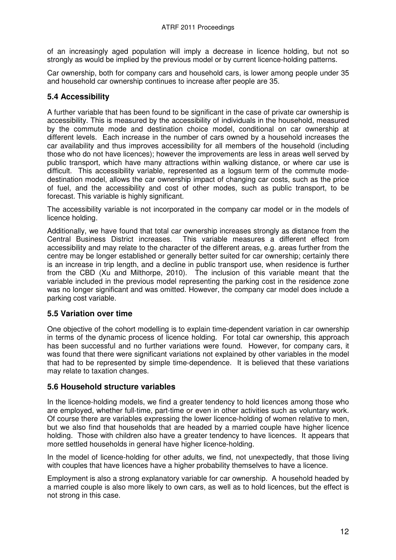of an increasingly aged population will imply a decrease in licence holding, but not so strongly as would be implied by the previous model or by current licence-holding patterns.

Car ownership, both for company cars and household cars, is lower among people under 35 and household car ownership continues to increase after people are 35.

## **5.4 Accessibility**

A further variable that has been found to be significant in the case of private car ownership is accessibility. This is measured by the accessibility of individuals in the household, measured by the commute mode and destination choice model, conditional on car ownership at different levels. Each increase in the number of cars owned by a household increases the car availability and thus improves accessibility for all members of the household (including those who do not have licences); however the improvements are less in areas well served by public transport, which have many attractions within walking distance, or where car use is difficult. This accessibility variable, represented as a logsum term of the commute modedestination model, allows the car ownership impact of changing car costs, such as the price of fuel, and the accessibility and cost of other modes, such as public transport, to be forecast. This variable is highly significant.

The accessibility variable is not incorporated in the company car model or in the models of licence holding.

Additionally, we have found that total car ownership increases strongly as distance from the Central Business District increases. This variable measures a different effect from accessibility and may relate to the character of the different areas, e.g. areas further from the centre may be longer established or generally better suited for car ownership; certainly there is an increase in trip length, and a decline in public transport use, when residence is further from the CBD (Xu and Milthorpe, 2010). The inclusion of this variable meant that the variable included in the previous model representing the parking cost in the residence zone was no longer significant and was omitted. However, the company car model does include a parking cost variable.

## **5.5 Variation over time**

One objective of the cohort modelling is to explain time-dependent variation in car ownership in terms of the dynamic process of licence holding. For total car ownership, this approach has been successful and no further variations were found. However, for company cars, it was found that there were significant variations not explained by other variables in the model that had to be represented by simple time-dependence. It is believed that these variations may relate to taxation changes.

### **5.6 Household structure variables**

In the licence-holding models, we find a greater tendency to hold licences among those who are employed, whether full-time, part-time or even in other activities such as voluntary work. Of course there are variables expressing the lower licence-holding of women relative to men, but we also find that households that are headed by a married couple have higher licence holding. Those with children also have a greater tendency to have licences. It appears that more settled households in general have higher licence-holding.

In the model of licence-holding for other adults, we find, not unexpectedly, that those living with couples that have licences have a higher probability themselves to have a licence.

Employment is also a strong explanatory variable for car ownership. A household headed by a married couple is also more likely to own cars, as well as to hold licences, but the effect is not strong in this case.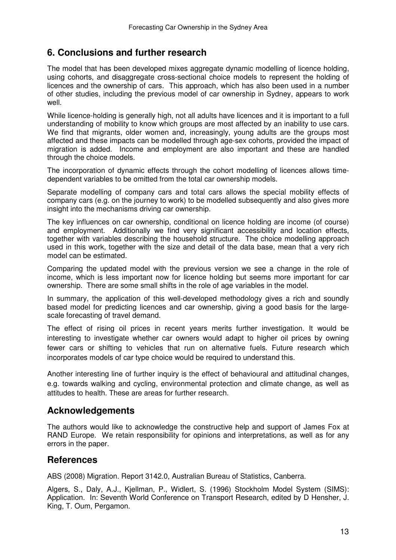## **6. Conclusions and further research**

The model that has been developed mixes aggregate dynamic modelling of licence holding, using cohorts, and disaggregate cross-sectional choice models to represent the holding of licences and the ownership of cars. This approach, which has also been used in a number of other studies, including the previous model of car ownership in Sydney, appears to work well.

While licence-holding is generally high, not all adults have licences and it is important to a full understanding of mobility to know which groups are most affected by an inability to use cars. We find that migrants, older women and, increasingly, young adults are the groups most affected and these impacts can be modelled through age-sex cohorts, provided the impact of migration is added. Income and employment are also important and these are handled through the choice models.

The incorporation of dynamic effects through the cohort modelling of licences allows timedependent variables to be omitted from the total car ownership models.

Separate modelling of company cars and total cars allows the special mobility effects of company cars (e.g. on the journey to work) to be modelled subsequently and also gives more insight into the mechanisms driving car ownership.

The key influences on car ownership, conditional on licence holding are income (of course) and employment. Additionally we find very significant accessibility and location effects, together with variables describing the household structure. The choice modelling approach used in this work, together with the size and detail of the data base, mean that a very rich model can be estimated.

Comparing the updated model with the previous version we see a change in the role of income, which is less important now for licence holding but seems more important for car ownership. There are some small shifts in the role of age variables in the model.

In summary, the application of this well-developed methodology gives a rich and soundly based model for predicting licences and car ownership, giving a good basis for the largescale forecasting of travel demand.

The effect of rising oil prices in recent years merits further investigation. It would be interesting to investigate whether car owners would adapt to higher oil prices by owning fewer cars or shifting to vehicles that run on alternative fuels. Future research which incorporates models of car type choice would be required to understand this.

Another interesting line of further inquiry is the effect of behavioural and attitudinal changes, e.g. towards walking and cycling, environmental protection and climate change, as well as attitudes to health. These are areas for further research.

## **Acknowledgements**

The authors would like to acknowledge the constructive help and support of James Fox at RAND Europe. We retain responsibility for opinions and interpretations, as well as for any errors in the paper.

## **References**

ABS (2008) Migration. Report 3142.0, Australian Bureau of Statistics, Canberra.

Algers, S., Daly, A.J., Kjellman, P., Widlert, S. (1996) Stockholm Model System (SIMS): Application. In: Seventh World Conference on Transport Research, edited by D Hensher, J. King, T. Oum, Pergamon.